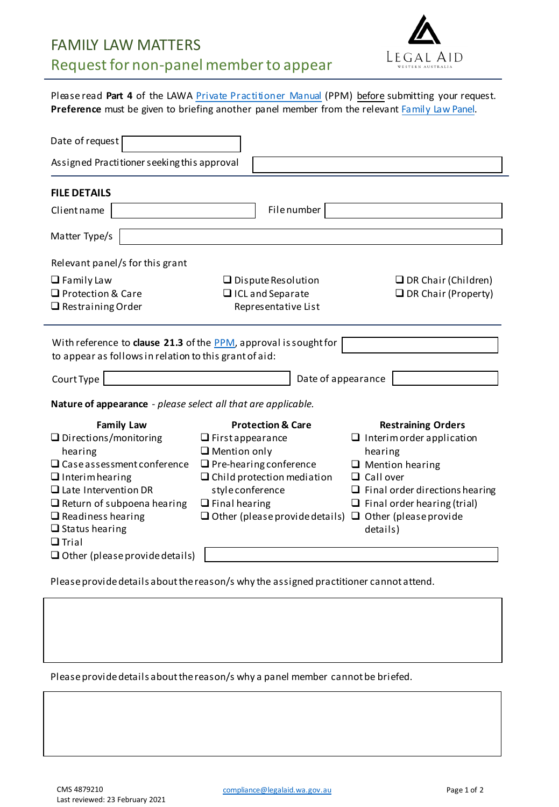

Please read **Part 4** of the LAWA Private [Practitioner](https://www.legalaid.wa.gov.au/lawyers/practitioner-standards-and-compliance) Manual (PPM) before submitting your request. Preference must be given to briefing another panel member from the relevant [Family](https://www.legalaid.wa.gov.au/search?search_api_fulltext=family+law+panel) Law Panel.

| Date of request                                                                                                                                                                                                                |                                                                    |                                            |
|--------------------------------------------------------------------------------------------------------------------------------------------------------------------------------------------------------------------------------|--------------------------------------------------------------------|--------------------------------------------|
| Assigned Practitioner seeking this approval                                                                                                                                                                                    |                                                                    |                                            |
| <b>FILE DETAILS</b>                                                                                                                                                                                                            |                                                                    |                                            |
| Client name                                                                                                                                                                                                                    | Filenumber                                                         |                                            |
| Matter Type/s                                                                                                                                                                                                                  |                                                                    |                                            |
| Relevant panel/s for this grant                                                                                                                                                                                                |                                                                    |                                            |
| $\Box$ Family Law                                                                                                                                                                                                              | $\Box$ Dispute Resolution                                          | $\Box$ DR Chair (Children)                 |
| □ Protection & Care                                                                                                                                                                                                            | □ ICL and Separate                                                 | $\Box$ DR Chair (Property)                 |
| $\Box$ Restraining Order                                                                                                                                                                                                       | Representative List                                                |                                            |
| With reference to clause 21.3 of the PPM, approval is sought for<br>to appear as follows in relation to this grant of aid:<br>Court Type<br>Date of appearance                                                                 |                                                                    |                                            |
| Nature of appearance - please select all that are applicable.                                                                                                                                                                  |                                                                    |                                            |
| <b>Family Law</b>                                                                                                                                                                                                              | <b>Protection &amp; Care</b>                                       | <b>Restraining Orders</b>                  |
| $\Box$ Directions/monitoring                                                                                                                                                                                                   | $\Box$ First appearance                                            | $\Box$ Interim order application           |
| hearing                                                                                                                                                                                                                        | $\Box$ Mention only                                                | hearing                                    |
| $\Box$ Case assessment conference<br>$\Box$ Interim hearing                                                                                                                                                                    | $\Box$ Pre-hearing conference<br>$\Box$ Child protection mediation | $\Box$ Mention hearing<br>$\Box$ Call over |
| $\Box$ Late Intervention DR                                                                                                                                                                                                    | style conference                                                   | $\Box$ Final order directions hearing      |
| $\Box$ Return of subpoena hearing                                                                                                                                                                                              | $\Box$ Final hearing                                               | $\Box$ Final order hearing (trial)         |
| $\Box$ Readiness hearing                                                                                                                                                                                                       | $\Box$ Other (please provide details) $\Box$ Other (please provide |                                            |
| $\Box$ Status hearing                                                                                                                                                                                                          |                                                                    | details)                                   |
| $\Box$ Trial                                                                                                                                                                                                                   |                                                                    |                                            |
| $\Box$ Other (please provide details)                                                                                                                                                                                          |                                                                    |                                            |
| the state of the state of the state of the state of the state of the state of the state of the state of the state of the state of the state of the state of the state of the state of the state of the state of the state of t |                                                                    |                                            |

Please provide details about the reason/s why the assigned practitioner cannot attend.

Please provide details about the reason/s why a panel member cannot be briefed.